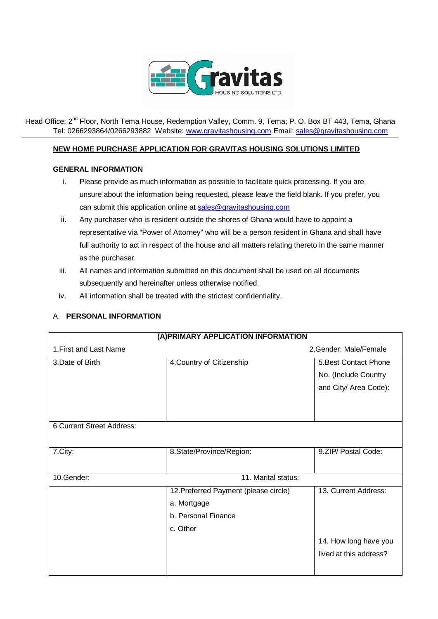

Head Office: 2<sup>nd</sup> Floor, North Tema House, Redemption Valley, Comm. 9, Tema; P. O. Box BT 443, Tema, Ghana Tel: 0266293864/0266293882 Website[: www.gravitashousing.com](http://www.gravitashousing.com/) Email: [sales@gravitashousing.com](mailto:sales@gravitashousing.com)

## **NEW HOME PURCHASE APPLICATION FOR GRAVITAS HOUSING SOLUTIONS LIMITED**

## **GENERAL INFORMATION**

- i. Please provide as much information as possible to facilitate quick processing. If you are unsure about the information being requested, please leave the field blank. If you prefer, you can submit this application online a[t sales@gravitashousing.com](mailto:sales@gravitashousing.com)
- ii. Any purchaser who is resident outside the shores of Ghana would have to appoint a representative via "Power of Attorney" who will be a person resident in Ghana and shall have full authority to act in respect of the house and all matters relating thereto in the same manner as the purchaser.
- iii. All names and information submitted on this document shall be used on all documents subsequently and hereinafter unless otherwise notified.
- iv. All information shall be treated with the strictest confidentiality.

## A. **PERSONAL INFORMATION**

| (A) PRIMARY APPLICATION INFORMATION |                                       |                        |  |  |
|-------------------------------------|---------------------------------------|------------------------|--|--|
| 1. First and Last Name              |                                       | 2. Gender: Male/Female |  |  |
| 3.Date of Birth                     | 4. Country of Citizenship             | 5. Best Contact Phone  |  |  |
|                                     |                                       | No. (Include Country   |  |  |
|                                     |                                       | and City/ Area Code):  |  |  |
|                                     |                                       |                        |  |  |
|                                     |                                       |                        |  |  |
| 6. Current Street Address:          |                                       |                        |  |  |
|                                     |                                       |                        |  |  |
| 7.City:                             | 8.State/Province/Region:              | 9.ZIP/ Postal Code:    |  |  |
|                                     |                                       |                        |  |  |
| 10.Gender:                          | 11. Marital status:                   |                        |  |  |
|                                     | 12. Preferred Payment (please circle) | 13. Current Address:   |  |  |
|                                     | a. Mortgage                           |                        |  |  |
|                                     | b. Personal Finance                   |                        |  |  |
|                                     | c. Other                              |                        |  |  |
|                                     |                                       | 14. How long have you  |  |  |
|                                     |                                       | lived at this address? |  |  |
|                                     |                                       |                        |  |  |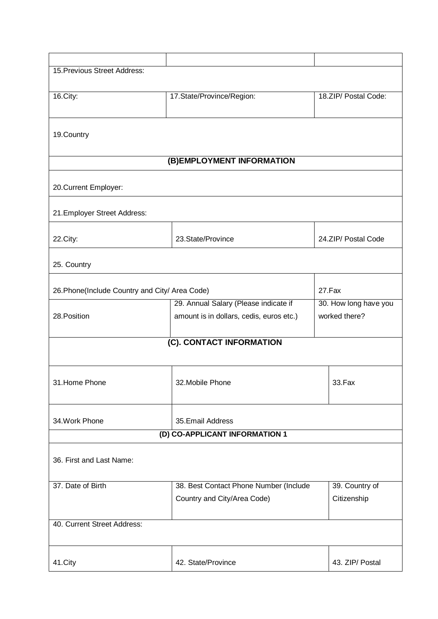| 15. Previous Street Address:                   |                                          |                       |  |  |
|------------------------------------------------|------------------------------------------|-----------------------|--|--|
|                                                |                                          |                       |  |  |
| 16.City:                                       | 17.State/Province/Region:                | 18.ZIP/ Postal Code:  |  |  |
|                                                |                                          |                       |  |  |
|                                                |                                          |                       |  |  |
| 19.Country                                     |                                          |                       |  |  |
|                                                |                                          |                       |  |  |
|                                                | (B) EMPLOYMENT INFORMATION               |                       |  |  |
| 20. Current Employer:                          |                                          |                       |  |  |
| 21. Employer Street Address:                   |                                          |                       |  |  |
|                                                |                                          |                       |  |  |
| 22.City:                                       | 23. State/Province                       | 24.ZIP/ Postal Code   |  |  |
| 25. Country                                    |                                          |                       |  |  |
|                                                |                                          |                       |  |  |
| 26. Phone(Include Country and City/ Area Code) |                                          | 27.Fax                |  |  |
|                                                | 29. Annual Salary (Please indicate if    | 30. How long have you |  |  |
| 28. Position                                   | amount is in dollars, cedis, euros etc.) | worked there?         |  |  |
|                                                | (C). CONTACT INFORMATION                 |                       |  |  |
|                                                |                                          |                       |  |  |
|                                                |                                          |                       |  |  |
| 31. Home Phone                                 | 32. Mobile Phone                         | 33.Fax                |  |  |
|                                                |                                          |                       |  |  |
|                                                |                                          |                       |  |  |
| 34. Work Phone                                 | 35. Email Address                        |                       |  |  |
| (D) CO-APPLICANT INFORMATION 1                 |                                          |                       |  |  |
|                                                |                                          |                       |  |  |
| 36. First and Last Name:                       |                                          |                       |  |  |
|                                                |                                          |                       |  |  |
| 37. Date of Birth                              | 38. Best Contact Phone Number (Include   | 39. Country of        |  |  |
|                                                | Country and City/Area Code)              | Citizenship           |  |  |
| 40. Current Street Address:                    |                                          |                       |  |  |
|                                                |                                          |                       |  |  |
|                                                |                                          |                       |  |  |
| 41.City                                        | 42. State/Province                       | 43. ZIP/ Postal       |  |  |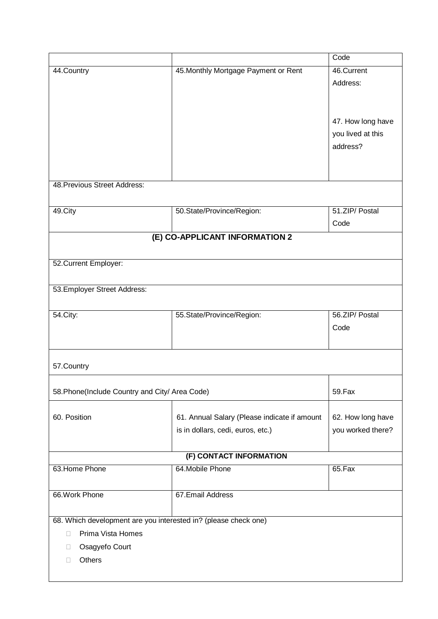|                                                                 |                                              | Code              |  |  |
|-----------------------------------------------------------------|----------------------------------------------|-------------------|--|--|
| 44.Country                                                      | 45. Monthly Mortgage Payment or Rent         | 46.Current        |  |  |
|                                                                 |                                              | Address:          |  |  |
|                                                                 |                                              |                   |  |  |
|                                                                 |                                              |                   |  |  |
|                                                                 |                                              | 47. How long have |  |  |
|                                                                 |                                              | you lived at this |  |  |
|                                                                 |                                              | address?          |  |  |
|                                                                 |                                              |                   |  |  |
|                                                                 |                                              |                   |  |  |
| 48. Previous Street Address:                                    |                                              |                   |  |  |
|                                                                 |                                              |                   |  |  |
| 49.City                                                         | 50.State/Province/Region:                    | 51.ZIP/ Postal    |  |  |
|                                                                 |                                              | Code              |  |  |
|                                                                 | (E) CO-APPLICANT INFORMATION 2               |                   |  |  |
|                                                                 |                                              |                   |  |  |
| 52. Current Employer:                                           |                                              |                   |  |  |
|                                                                 |                                              |                   |  |  |
| 53. Employer Street Address:                                    |                                              |                   |  |  |
|                                                                 |                                              |                   |  |  |
| 54. City:                                                       | 55.State/Province/Region:                    | 56.ZIP/ Postal    |  |  |
|                                                                 |                                              | Code              |  |  |
|                                                                 |                                              |                   |  |  |
|                                                                 |                                              |                   |  |  |
| 57.Country                                                      |                                              |                   |  |  |
|                                                                 |                                              |                   |  |  |
| 58. Phone(Include Country and City/ Area Code)                  |                                              | 59.Fax            |  |  |
|                                                                 |                                              |                   |  |  |
| 60. Position                                                    | 61. Annual Salary (Please indicate if amount | 62. How long have |  |  |
|                                                                 | is in dollars, cedi, euros, etc.)            | you worked there? |  |  |
|                                                                 |                                              |                   |  |  |
|                                                                 | (F) CONTACT INFORMATION                      |                   |  |  |
| 63. Home Phone                                                  | 64. Mobile Phone                             | 65.Fax            |  |  |
|                                                                 |                                              |                   |  |  |
| 66. Work Phone                                                  | 67. Email Address                            |                   |  |  |
|                                                                 |                                              |                   |  |  |
| 68. Which development are you interested in? (please check one) |                                              |                   |  |  |
| Prima Vista Homes<br>П                                          |                                              |                   |  |  |
| Osagyefo Court<br>$\mathbf{L}$                                  |                                              |                   |  |  |
| Others<br>П                                                     |                                              |                   |  |  |
|                                                                 |                                              |                   |  |  |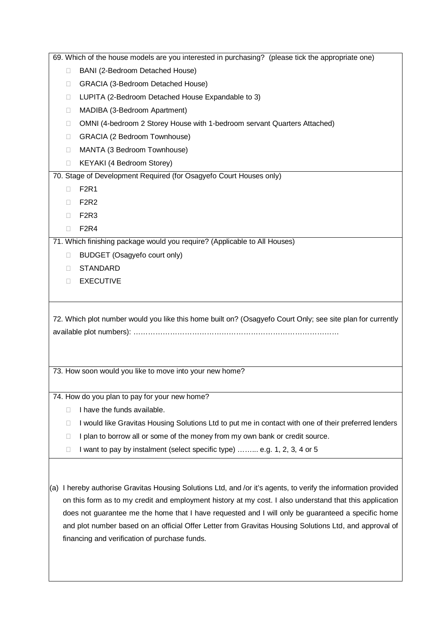|                                        | 69. Which of the house models are you interested in purchasing? (please tick the appropriate one)          |  |  |  |  |
|----------------------------------------|------------------------------------------------------------------------------------------------------------|--|--|--|--|
| $\Box$                                 | BANI (2-Bedroom Detached House)                                                                            |  |  |  |  |
| □                                      | GRACIA (3-Bedroom Detached House)                                                                          |  |  |  |  |
| $\Box$                                 | LUPITA (2-Bedroom Detached House Expandable to 3)                                                          |  |  |  |  |
| MADIBA (3-Bedroom Apartment)<br>$\Box$ |                                                                                                            |  |  |  |  |
| $\Box$                                 | OMNI (4-bedroom 2 Storey House with 1-bedroom servant Quarters Attached)                                   |  |  |  |  |
| □                                      | GRACIA (2 Bedroom Townhouse)                                                                               |  |  |  |  |
| □                                      | MANTA (3 Bedroom Townhouse)                                                                                |  |  |  |  |
| П                                      | KEYAKI (4 Bedroom Storey)                                                                                  |  |  |  |  |
|                                        | 70. Stage of Development Required (for Osagyefo Court Houses only)                                         |  |  |  |  |
| □                                      | F <sub>2</sub> R <sub>1</sub>                                                                              |  |  |  |  |
| П                                      | F2R2                                                                                                       |  |  |  |  |
| П                                      | F <sub>2R3</sub>                                                                                           |  |  |  |  |
| □                                      | F <sub>2R4</sub>                                                                                           |  |  |  |  |
|                                        | 71. Which finishing package would you require? (Applicable to All Houses)                                  |  |  |  |  |
| □                                      | BUDGET (Osagyefo court only)                                                                               |  |  |  |  |
| П                                      | <b>STANDARD</b>                                                                                            |  |  |  |  |
| □                                      | <b>EXECUTIVE</b>                                                                                           |  |  |  |  |
|                                        |                                                                                                            |  |  |  |  |
|                                        |                                                                                                            |  |  |  |  |
|                                        | 72. Which plot number would you like this home built on? (Osagyefo Court Only; see site plan for currently |  |  |  |  |
|                                        | 73. How soon would you like to move into your new home?                                                    |  |  |  |  |
|                                        |                                                                                                            |  |  |  |  |
|                                        | 74. How do you plan to pay for your new home?                                                              |  |  |  |  |
| □                                      | I have the funds available.                                                                                |  |  |  |  |
| $\Box$                                 | I would like Gravitas Housing Solutions Ltd to put me in contact with one of their preferred lenders       |  |  |  |  |
| □                                      | I plan to borrow all or some of the money from my own bank or credit source.                               |  |  |  |  |
| $\Box$                                 | I want to pay by instalment (select specific type)  e.g. 1, 2, 3, 4 or 5                                   |  |  |  |  |
|                                        |                                                                                                            |  |  |  |  |